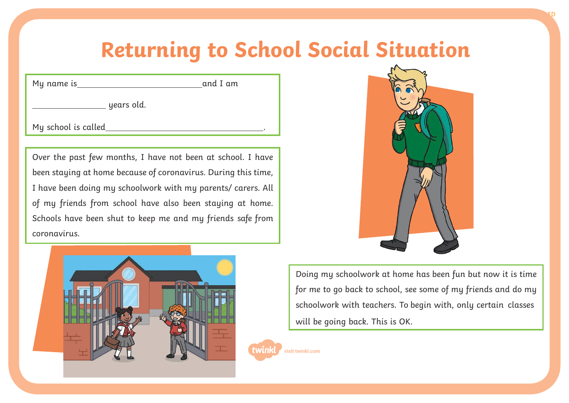## **[Returning to School Social Situation](https://www.twinkl.co.uk/resources/specialeducationalneeds-sen/specialeducationalneeds-sen-social-emotional-and-mental-health-difficulties/specialeducationalneeds-sen-social-emotional-and-mental-health-difficulties-social-stories)**

My name is example and I am

years old.

My school is called .

Over the past few months, I have not been at school. I have been staying at home because of coronavirus. During this time, I have been doing my schoolwork with my parents/ carers. All of my friends from school have also been staying at home. Schools have been shut to keep me and my friends safe from coronavirus.





Doing my schoolwork at home has been fun but now it is time for me to go back to school, see some of my friends and do my schoolwork with teachers. To begin with, only certain classes will be going back. This is OK.



**visit twinkl.com**